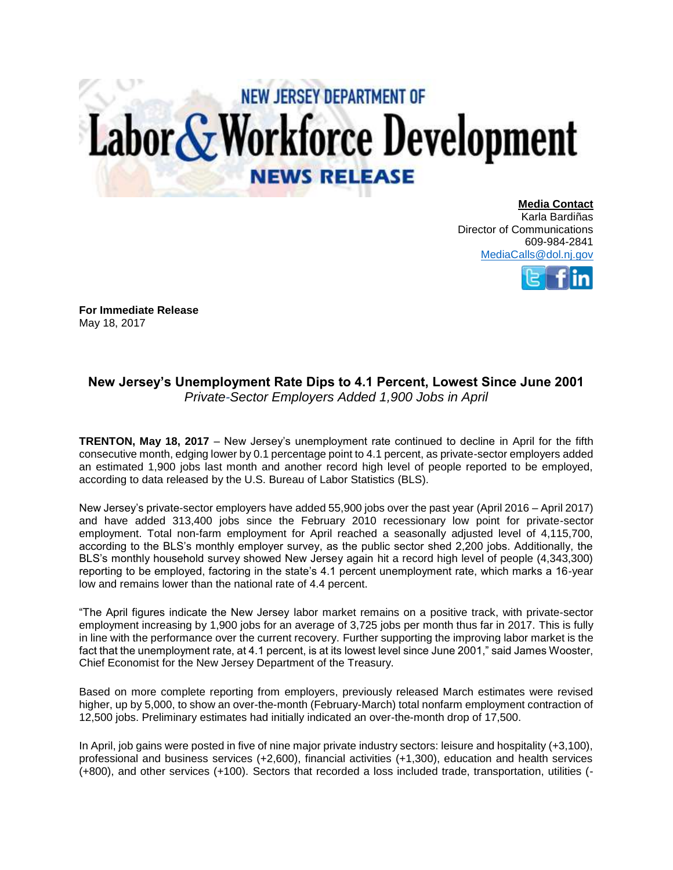## **NEW JERSEY DEPARTMENT OF** Labor & Workforce Development **NEWS RELEASE**

**Media Contact** Karla Bardiñas Director of Communications 609-984-2841 [MediaCalls@dol.nj.gov](mailto:MediaCalls@dol.nj.gov)



**For Immediate Release**  May 18, 2017

## **New Jersey's Unemployment Rate Dips to 4.1 Percent, Lowest Since June 2001** *Private-Sector Employers Added 1,900 Jobs in April*

**TRENTON, May 18, 2017** – New Jersey's unemployment rate continued to decline in April for the fifth consecutive month, edging lower by 0.1 percentage point to 4.1 percent, as private-sector employers added an estimated 1,900 jobs last month and another record high level of people reported to be employed, according to data released by the U.S. Bureau of Labor Statistics (BLS).

New Jersey's private-sector employers have added 55,900 jobs over the past year (April 2016 – April 2017) and have added 313,400 jobs since the February 2010 recessionary low point for private-sector employment. Total non-farm employment for April reached a seasonally adjusted level of 4,115,700, according to the BLS's monthly employer survey, as the public sector shed 2,200 jobs. Additionally, the BLS's monthly household survey showed New Jersey again hit a record high level of people (4,343,300) reporting to be employed, factoring in the state's 4.1 percent unemployment rate, which marks a 16-year low and remains lower than the national rate of 4.4 percent.

"The April figures indicate the New Jersey labor market remains on a positive track, with private-sector employment increasing by 1,900 jobs for an average of 3,725 jobs per month thus far in 2017. This is fully in line with the performance over the current recovery. Further supporting the improving labor market is the fact that the unemployment rate, at 4.1 percent, is at its lowest level since June 2001," said James Wooster, Chief Economist for the New Jersey Department of the Treasury.

Based on more complete reporting from employers, previously released March estimates were revised higher, up by 5,000, to show an over-the-month (February-March) total nonfarm employment contraction of 12,500 jobs. Preliminary estimates had initially indicated an over-the-month drop of 17,500.

In April, job gains were posted in five of nine major private industry sectors: leisure and hospitality (+3,100), professional and business services (+2,600), financial activities (+1,300), education and health services (+800), and other services (+100). Sectors that recorded a loss included trade, transportation, utilities (-